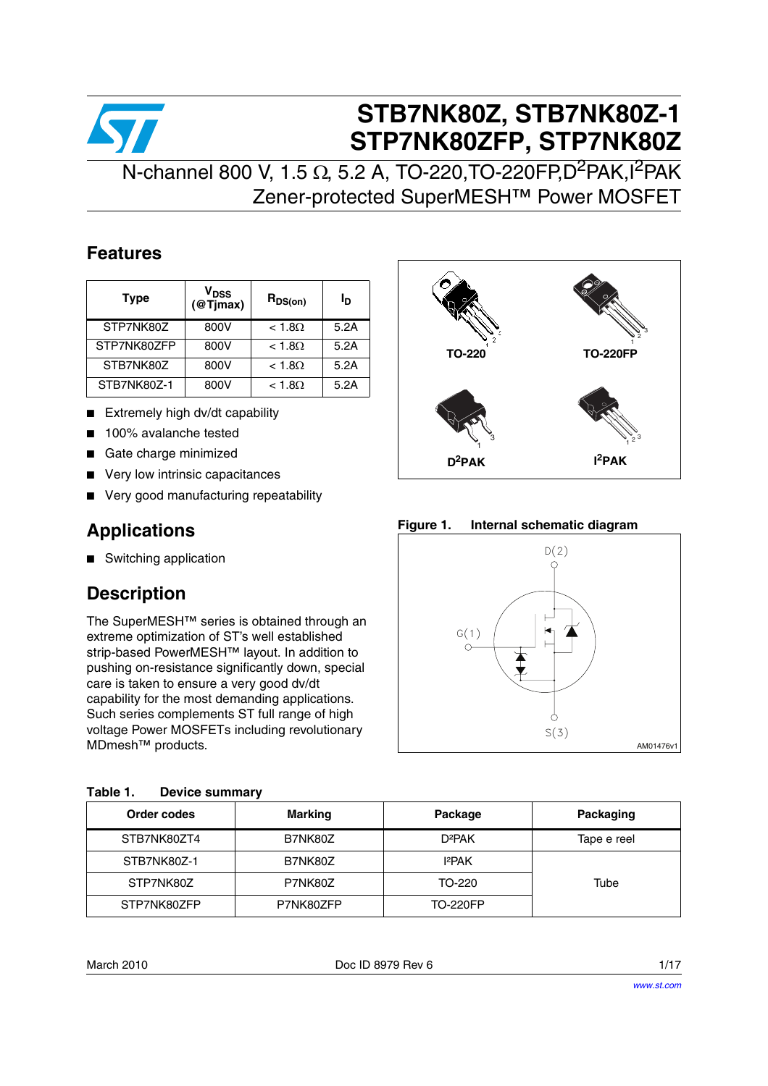

# **STB7NK80Z, STB7NK80Z-1 STP7NK80ZFP, STP7NK80Z**

# N-channel 800 V, 1.5 Ω, 5.2 A, TO-220, TO-220FP, D<sup>2</sup>PAK, I<sup>2</sup>PAK Zener-protected SuperMESH™ Power MOSFET

## **Features**

| <b>Type</b> | $\bm{{\mathsf{v}}}_{\texttt{DSS}}$<br>@T <sub>Imax</sub> | $R_{DS(on)}$  | Iр   |
|-------------|----------------------------------------------------------|---------------|------|
| STP7NK80Z   | 800V                                                     | $< 1.8\Omega$ | 5.2A |
| STP7NK80ZFP | 800V                                                     | $< 1.8\Omega$ | 5.2A |
| STB7NK80Z   | 800V                                                     | $< 1.8\Omega$ | 5.2A |
| STB7NK80Z-1 | 800V                                                     | $< 1.8\Omega$ | 5.2A |

- Extremely high dv/dt capability
- 100% avalanche tested
- Gate charge minimized
- Very low intrinsic capacitances
- Very good manufacturing repeatability

## **Applications**

■ Switching application

## **Description**

The SuperMESH™ series is obtained through an extreme optimization of ST's well established strip-based PowerMESH™ layout. In addition to pushing on-resistance significantly down, special care is taken to ensure a very good dv/dt capability for the most demanding applications. Such series complements ST full range of high voltage Power MOSFETs including revolutionary MDmesh™ products.

<span id="page-0-0"></span>

| Table 1. |  | <b>Device summary</b> |
|----------|--|-----------------------|
|----------|--|-----------------------|



**Figure 1. Internal schematic diagram**



| Order codes | <b>Marking</b> | Package            | Packaging   |
|-------------|----------------|--------------------|-------------|
| STB7NK80ZT4 | B7NK80Z        | D <sup>2</sup> PAK | Tape e reel |
| STB7NK80Z-1 | B7NK80Z        | 12PAK              |             |
| STP7NK80Z   | P7NK80Z        | TO-220             | Tube        |
| STP7NK80ZFP | P7NK80ZFP      | <b>TO-220FP</b>    |             |

March 2010 **Doc ID 8979 Rev 6 Now the Series of the Series of the Series of the Series of the Series of the Series of the Series of the Series of the Series of the Series of the Series of the Series of the Series of the**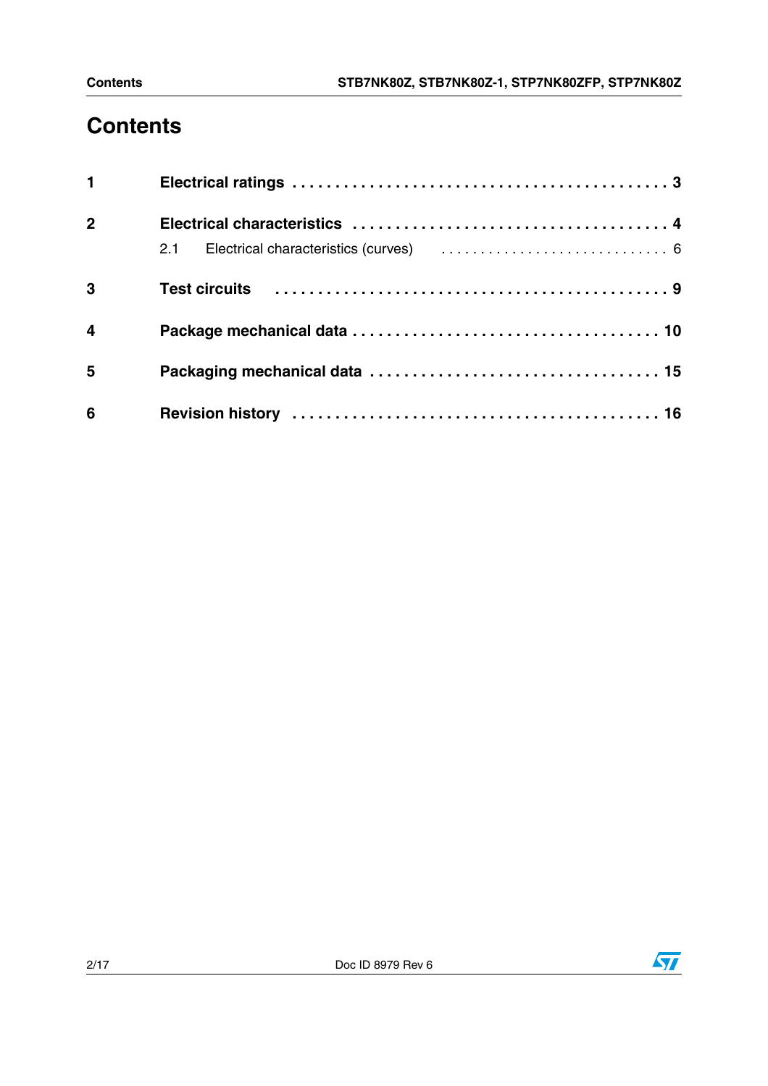# **Contents**

| 1                       |                                                                                                                                   |  |
|-------------------------|-----------------------------------------------------------------------------------------------------------------------------------|--|
| $\overline{2}$          |                                                                                                                                   |  |
|                         | 2.1 Electrical characteristics (curves) (example 2.1 Electrical characteristics (curves) (example 2.1 Electrical contracts of $6$ |  |
| 3                       |                                                                                                                                   |  |
| $\overline{\mathbf{4}}$ |                                                                                                                                   |  |
| 5                       |                                                                                                                                   |  |
| 6                       |                                                                                                                                   |  |

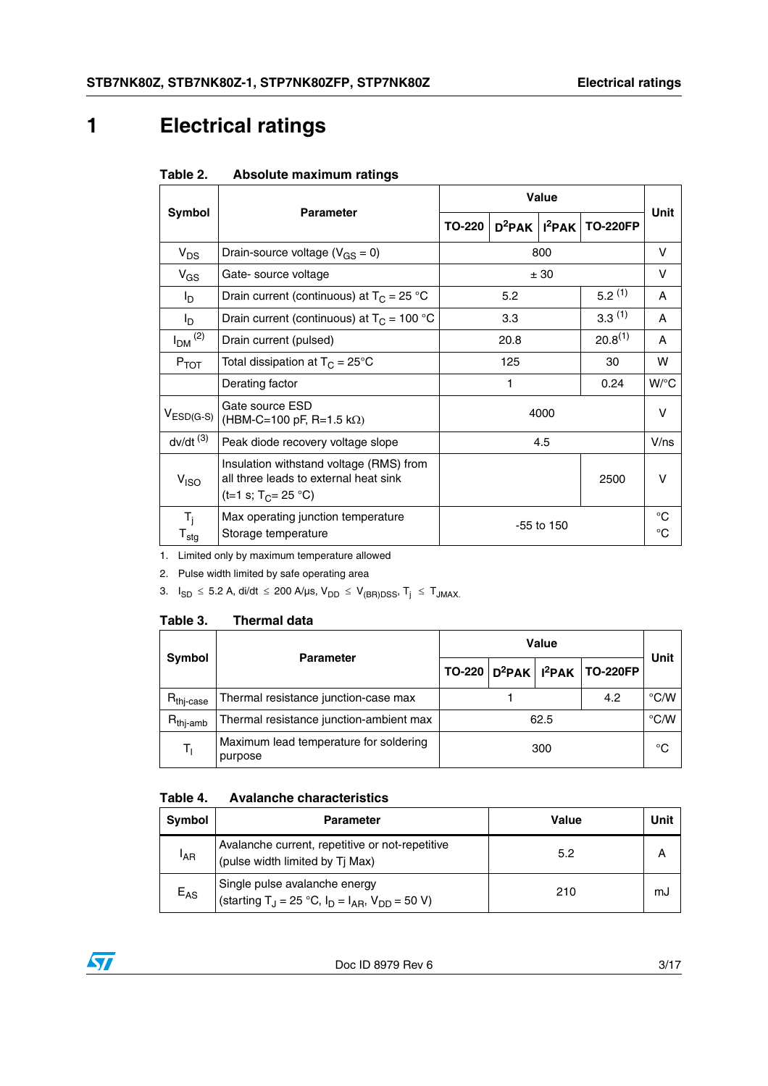# <span id="page-2-0"></span>**1 Electrical ratings**

| Table 2. | Absolute maximum ratings |  |
|----------|--------------------------|--|
|          |                          |  |

|                                     |                                                                                                             | Value  |                      |              |                 |                    |
|-------------------------------------|-------------------------------------------------------------------------------------------------------------|--------|----------------------|--------------|-----------------|--------------------|
| Symbol                              | <b>Parameter</b>                                                                                            | TO-220 | $D^2$ PAK $ I^2$ PAK |              | <b>TO-220FP</b> | Unit               |
| $V_{DS}$                            | Drain-source voltage ( $V_{GS} = 0$ )                                                                       |        |                      | 800          |                 | V                  |
| $V_{GS}$                            | Gate- source voltage                                                                                        |        |                      | ± 30         |                 | $\vee$             |
| I <sub>D</sub>                      | Drain current (continuous) at $T_C = 25 °C$                                                                 |        | 5.2                  |              | $5.2^{(1)}$     | A                  |
| I <sub>D</sub>                      | Drain current (continuous) at $T_c = 100 °C$                                                                |        | 3.3                  |              | 3.3(1)          | $\mathsf{A}$       |
| $I_{DM}$ <sup>(2)</sup>             | Drain current (pulsed)                                                                                      | 20.8   |                      | $20.8^{(1)}$ | A               |                    |
| $P_{TOT}$                           | Total dissipation at $T_C = 25^{\circ}C$                                                                    | 125    |                      | 30           | w               |                    |
|                                     | Derating factor                                                                                             |        | 1                    |              | 0.24            | $W$ <sup>o</sup> C |
| $V_{ESD(G-S)}$                      | Gate source ESD<br>(HBM-C=100 pF, R=1.5 k $\Omega$ )                                                        | 4000   |                      |              | $\vee$          |                    |
| $dv/dt$ <sup><math>(3)</math></sup> | Peak diode recovery voltage slope                                                                           |        |                      | 4.5          |                 | V/ns               |
| V <sub>ISO</sub>                    | Insulation withstand voltage (RMS) from<br>all three leads to external heat sink<br>(t=1 s; $T_C = 25 °C$ ) |        |                      |              | 2500            | $\vee$             |
| $T_i$<br>$T_{\text{stg}}$           | Max operating junction temperature<br>Storage temperature                                                   |        |                      | $-55$ to 150 |                 | $^{\circ}C$<br>°C  |

1. Limited only by maximum temperature allowed

2. Pulse width limited by safe operating area

3.  $I_{SD} \leq 5.2$  A, di/dt  $\leq 200$  A/µs,  $V_{DD} \leq V_{(BR)DSS}$ ,  $T_j \leq T_{JMAX}$ .

### Table 3. **Thermal data**

| <b>Symbol</b>         | <b>Parameter</b>                                  |      |  |     | $TO-220   D^2PAK   I^2PAK   TO-220FP$ | Unit |
|-----------------------|---------------------------------------------------|------|--|-----|---------------------------------------|------|
| $R_{\text{thi-case}}$ | Thermal resistance junction-case max              |      |  | 4.2 | $\degree$ C/W                         |      |
| $R_{\text{thi-amb}}$  | Thermal resistance junction-ambient max           | 62.5 |  |     | $\degree$ C/W                         |      |
| Tı.                   | Maximum lead temperature for soldering<br>purpose | 300  |  |     | °C                                    |      |

## **Table 4. Avalanche characteristics**

| Symbol          | <b>Parameter</b>                                                                                                              | <b>Value</b> | Unit |
|-----------------|-------------------------------------------------------------------------------------------------------------------------------|--------------|------|
| <sup>I</sup> AR | Avalanche current, repetitive or not-repetitive<br>(pulse width limited by Tj Max)                                            | 5.2          |      |
| $E_{AS}$        | Single pulse avalanche energy<br>(starting T <sub>J</sub> = 25 °C, I <sub>D</sub> = I <sub>AR</sub> , V <sub>DD</sub> = 50 V) | 210          | mJ   |

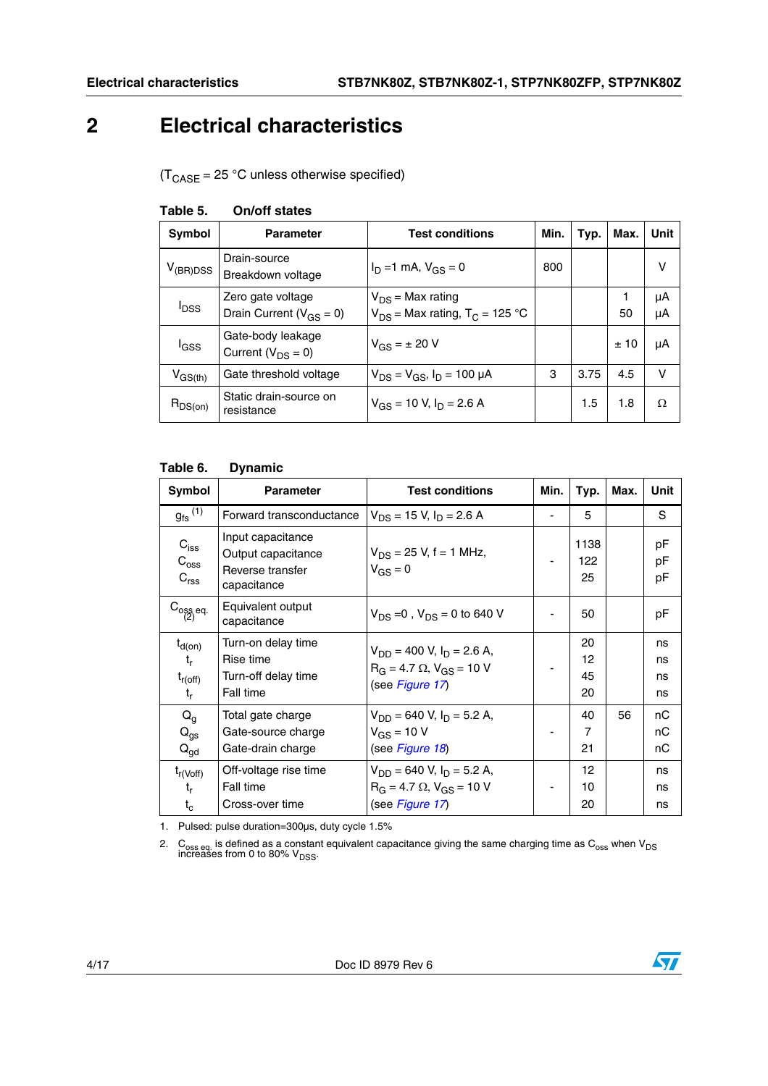## <span id="page-3-0"></span>**2 Electrical characteristics**

 $(T_{\text{CASE}} = 25 \text{ °C}$  unless otherwise specified)

| Symbol                  | <b>Parameter</b>                                    | <b>Test conditions</b>                                                  | Min. | Typ. | Max. | Unit     |
|-------------------------|-----------------------------------------------------|-------------------------------------------------------------------------|------|------|------|----------|
| $V_{(BR)DSS}$           | Drain-source<br>Breakdown voltage                   | $I_D = 1$ mA, $V_{GS} = 0$                                              | 800  |      |      | v        |
| <b>I</b> <sub>DSS</sub> | Zero gate voltage<br>Drain Current ( $V_{GS} = 0$ ) | $V_{DS}$ = Max rating<br>$V_{DS}$ = Max rating, T <sub>C</sub> = 125 °C |      |      | 50   | μA<br>μA |
| l <sub>GSS</sub>        | Gate-body leakage<br>Current ( $V_{DS} = 0$ )       | $V_{GS} = \pm 20 V$                                                     |      |      | ±10  | μA       |
| $V_{GS(th)}$            | Gate threshold voltage                              | $V_{DS} = V_{GS}$ , $I_D = 100 \mu A$                                   | 3    | 3.75 | 4.5  | $\vee$   |
| $R_{DS(on)}$            | Static drain-source on<br>resistance                | $V_{GS}$ = 10 V, $I_D$ = 2.6 A                                          |      | 1.5  | 1.8  | Ω        |

## **Table 5. On/off states**

### **Table 6. Dynamic**

| Symbol                                                | <b>Parameter</b>                                                           | <b>Test conditions</b>                                                                               | Min. | Typ.                 | Max. | Unit                 |
|-------------------------------------------------------|----------------------------------------------------------------------------|------------------------------------------------------------------------------------------------------|------|----------------------|------|----------------------|
| $g_{\text{fs}}^{(1)}$                                 | Forward transconductance                                                   | $V_{DS}$ = 15 V, I <sub>D</sub> = 2.6 A                                                              |      | 5                    |      | S                    |
| $C_{\text{iss}}$<br>$C_{\rm oss}$<br>$C_{\text{rss}}$ | Input capacitance<br>Output capacitance<br>Reverse transfer<br>capacitance | $V_{DS}$ = 25 V, f = 1 MHz,<br>$V_{GS} = 0$                                                          |      | 1138<br>122<br>25    |      | pF<br>рF<br>pF       |
| $C_{\substack{0.85 \ 2}}$ eq.                         | Equivalent output<br>capacitance                                           | $V_{DS} = 0$ , $V_{DS} = 0$ to 640 V                                                                 |      | 50                   |      | рF                   |
| $t_{d(on)}$<br>t,<br>$t_{r(off)}$<br>t,               | Turn-on delay time<br>Rise time<br>Turn-off delay time<br>Fall time        | $V_{DD}$ = 400 V, I <sub>D</sub> = 2.6 A,<br>$R_G = 4.7 \Omega$ , $V_{GS} = 10 V$<br>(see Figure 17) |      | 20<br>12<br>45<br>20 |      | ns<br>ns<br>ns<br>ns |
| $Q_g$<br>$Q_{gs}$<br>$Q_{\text{gd}}$                  | Total gate charge<br>Gate-source charge<br>Gate-drain charge               | $V_{DD}$ = 640 V, I <sub>D</sub> = 5.2 A,<br>$V_{GS}$ = 10 V<br>(see Figure 18)                      |      | 40<br>7<br>21        | 56   | nC<br>nС<br>nС       |
| $t_{r(Voff)}$<br>t,<br>$t_c$                          | Off-voltage rise time<br>Fall time<br>Cross-over time                      | $V_{DD}$ = 640 V, I <sub>D</sub> = 5.2 A,<br>$R_G = 4.7 \Omega$ , $V_{GS} = 10 V$<br>(see Figure 17) |      | 12<br>10<br>20       |      | ns<br>ns<br>ns       |

1. Pulsed: pulse duration=300µs, duty cycle 1.5%

2. C<sub>oss eq.</sub> is defined as a constant equivalent capacitance giving the same charging time as C<sub>oss</sub> when V<sub>DS</sub><br>increases from 0 to 80% V<sub>DSS</sub>.

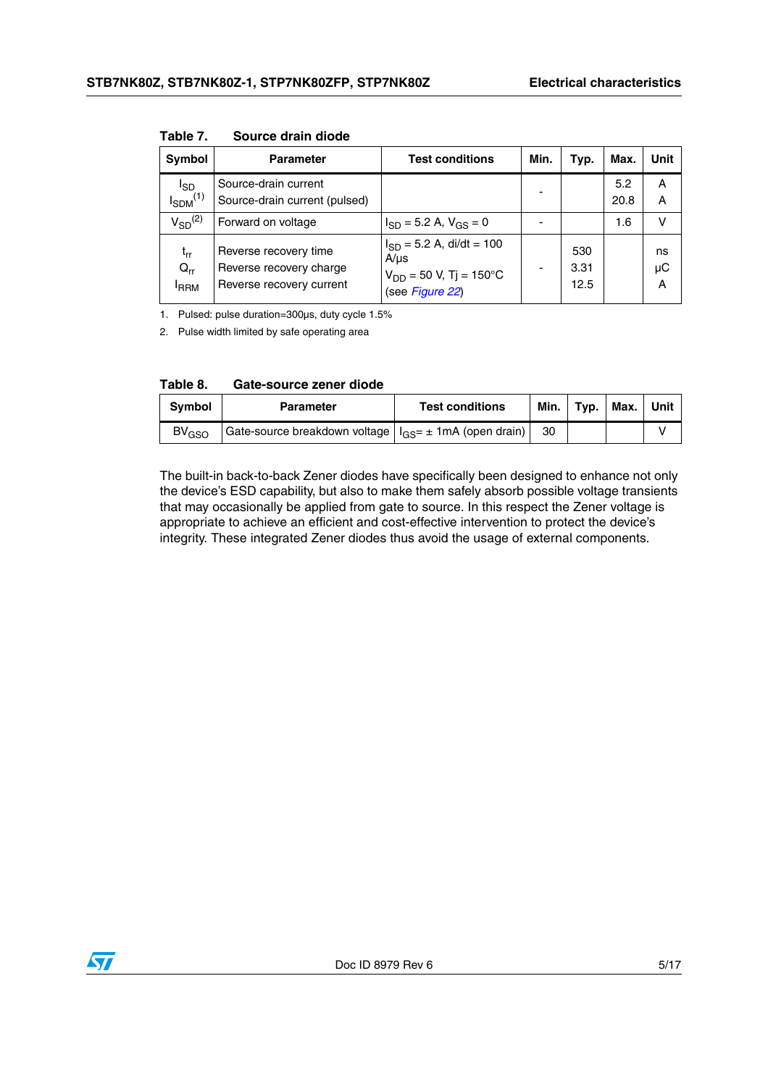| <b>Symbol</b>                            | <b>Parameter</b>                                                             | <b>Test conditions</b>                                                                       | Min.                     | Typ.                | Max.        | Unit          |
|------------------------------------------|------------------------------------------------------------------------------|----------------------------------------------------------------------------------------------|--------------------------|---------------------|-------------|---------------|
| <sup>I</sup> SD<br>$I_{SDM}^{(1)}$       | Source-drain current<br>Source-drain current (pulsed)                        |                                                                                              | $\overline{\phantom{0}}$ |                     | 5.2<br>20.8 | A<br>Α        |
| $V_{SD}^{(2)}$                           | Forward on voltage                                                           | $I_{SD}$ = 5.2 A, $V_{GS}$ = 0                                                               |                          |                     | 1.6         | v             |
| $t_{rr}$<br>$Q_{rr}$<br><sup>I</sup> RRM | Reverse recovery time<br>Reverse recovery charge<br>Reverse recovery current | $I_{SD}$ = 5.2 A, di/dt = 100<br>$A/\mu s$<br>$V_{DD}$ = 50 V, Tj = 150°C<br>(see Figure 22) | $\overline{\phantom{0}}$ | 530<br>3.31<br>12.5 |             | ns<br>μC<br>A |

**Table 7. Source drain diode**

1. Pulsed: pulse duration=300µs, duty cycle 1.5%

2. Pulse width limited by safe operating area

| Table 8. | Gate-source zener diode |  |
|----------|-------------------------|--|
|          |                         |  |

| <b>Symbol</b> | <b>Parameter</b>                                                | <b>Test conditions</b> | Min. l | $l$ Typ. | Max. | Unit |
|---------------|-----------------------------------------------------------------|------------------------|--------|----------|------|------|
| $BV_{GSO}$    | Gate-source breakdown voltage $ I_{GS} = \pm 1$ mA (open drain) |                        | -30    |          |      |      |

The built-in back-to-back Zener diodes have specifically been designed to enhance not only the device's ESD capability, but also to make them safely absorb possible voltage transients that may occasionally be applied from gate to source. In this respect the Zener voltage is appropriate to achieve an efficient and cost-effective intervention to protect the device's integrity. These integrated Zener diodes thus avoid the usage of external components.

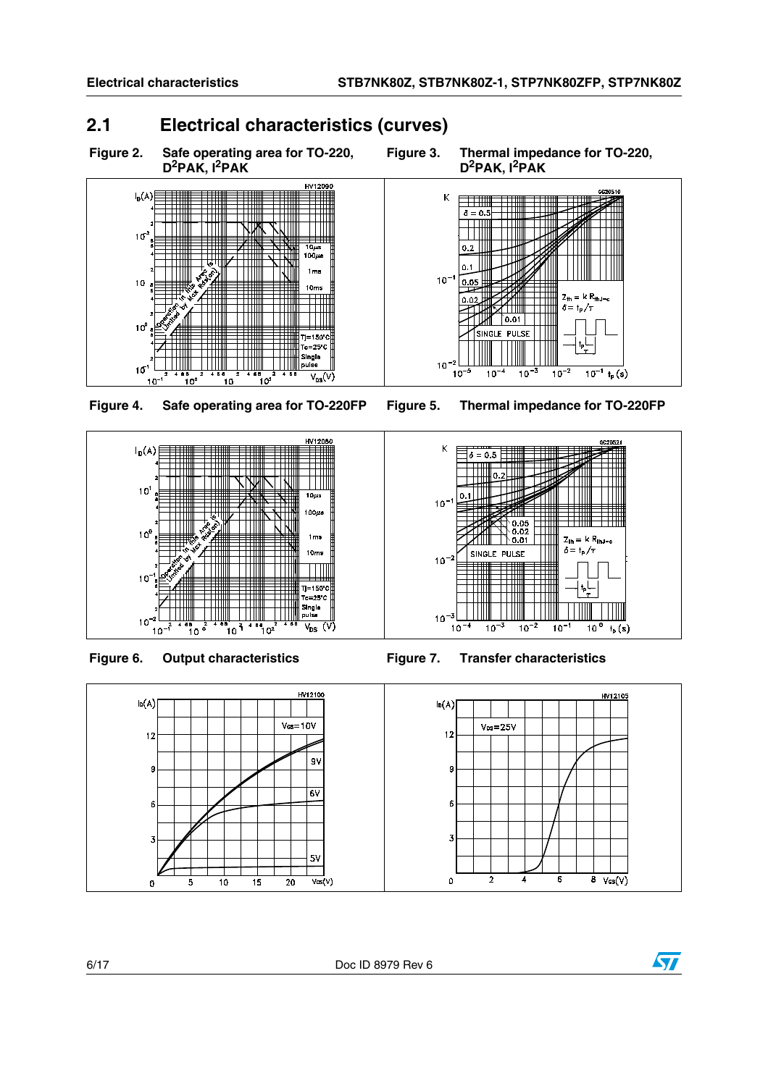$0.02$ 

 $10^{-2}$ 

 $10^{-5}$ 

 $\big)$ 0.01

 $10^{-3}$ 

SINGLE PULSE

 $10^{-4}$ 

## <span id="page-5-0"></span>**2.1 Electrical characteristics (curves)**

**Figure 2. Safe operating area for TO-220, D2PAK, I2PAK**



**Figure 4. Safe operating area for TO-220FP Figure 5. Thermal impedance for TO-220FP**











 $\delta = \frac{1}{P} \sqrt{\tau}$ 

 $\frac{10^{-1} t_p(s)}{10^{-1} t_p(s)}$ 

 $\frac{1}{10^{-2}}$ 



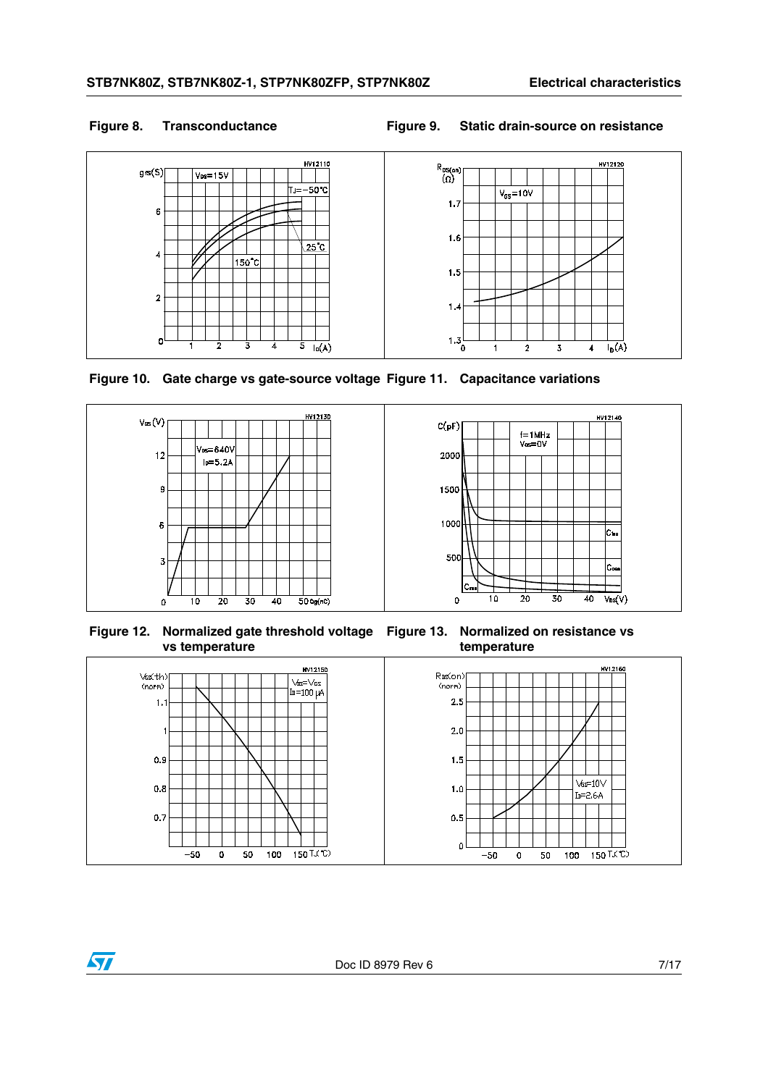$\sqrt{2}$ 

### **Figure 8. Transconductance Figure 9. Static drain-source on resistance**



**Figure 10. Gate charge vs gate-source voltage Figure 11. Capacitance variations**



**Figure 12. Normalized gate threshold voltage Figure 13. Normalized on resistance vs vs temperature**

**temperature**

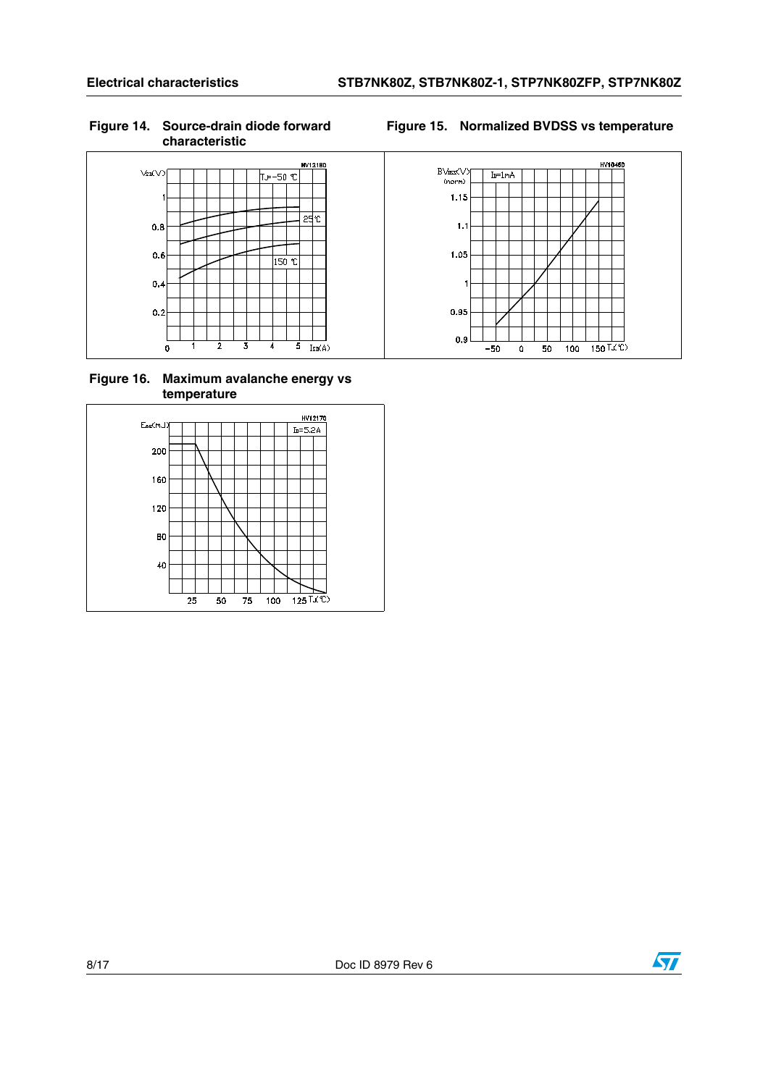### **Figure 14. Source-drain diode forward characteristic**





### **Figure 16. Maximum avalanche energy vs temperature**



HV10460  $BVbss(V)$ <br>(norm)  $I_D = 1mA$  $1.15$  $1.1$  $1.05$ 0.95  $0.9$  $-50$  $\overline{\mathbf{0}}$  $50$  $\overline{100}$  $150$   $\sqrt{C}$ 

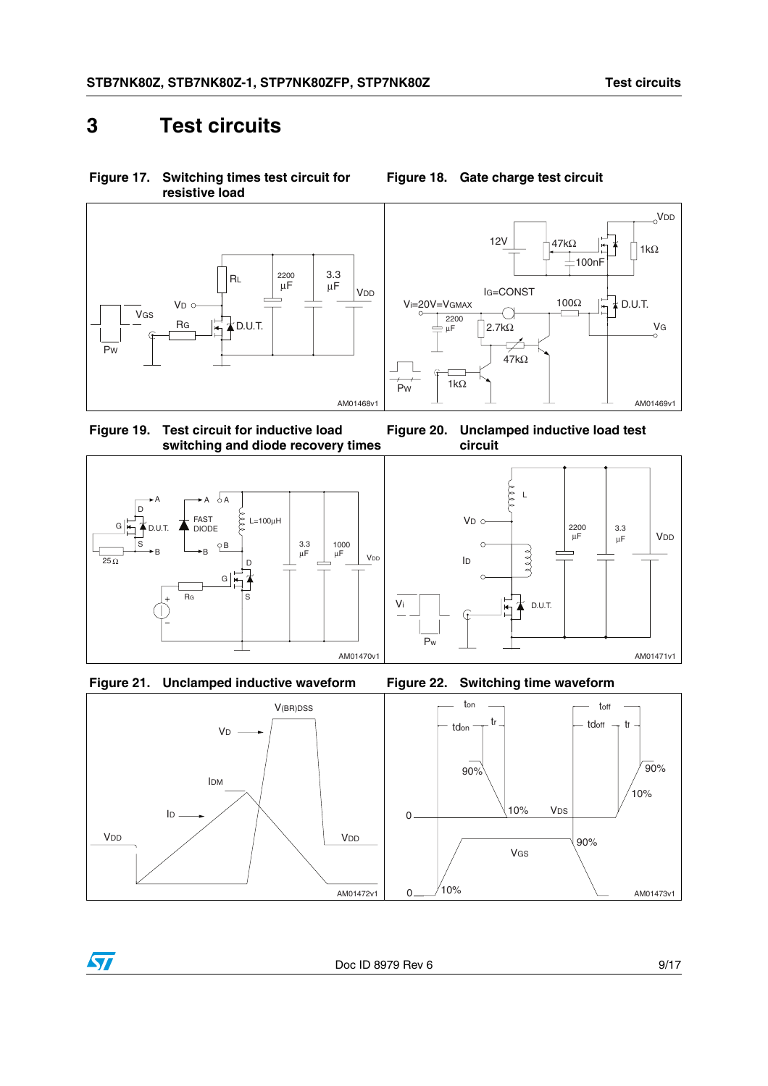# <span id="page-8-0"></span>**3 Test circuits**

<span id="page-8-1"></span>**Figure 17. Switching times test circuit for resistive load**



VDD 12V 47kΩ 1 1kΩ 100nF IG=CONST 100Ω Vi=20V=VGMAX  $\frac{1}{1}$   $\neq$  D.U.T. O 2200  $\vert$ 2.7kΩ VG µF फ्र  $47k\Omega$ 1kΩ .<br>Pw AM01469v1

<span id="page-8-2"></span>**Figure 18. Gate charge test circuit**

**circuit**

V<sub>D</sub> c

 $\Omega$ 

ID

**Figure 19. Test circuit for inductive load switching and diode recovery times Figure 20. Unclamped inductive load test** 







<span id="page-8-3"></span>

Pw



D.U.T.

2200 µF

3.3

 $\mu$ F | VDD

L

see

≭



AM01471v1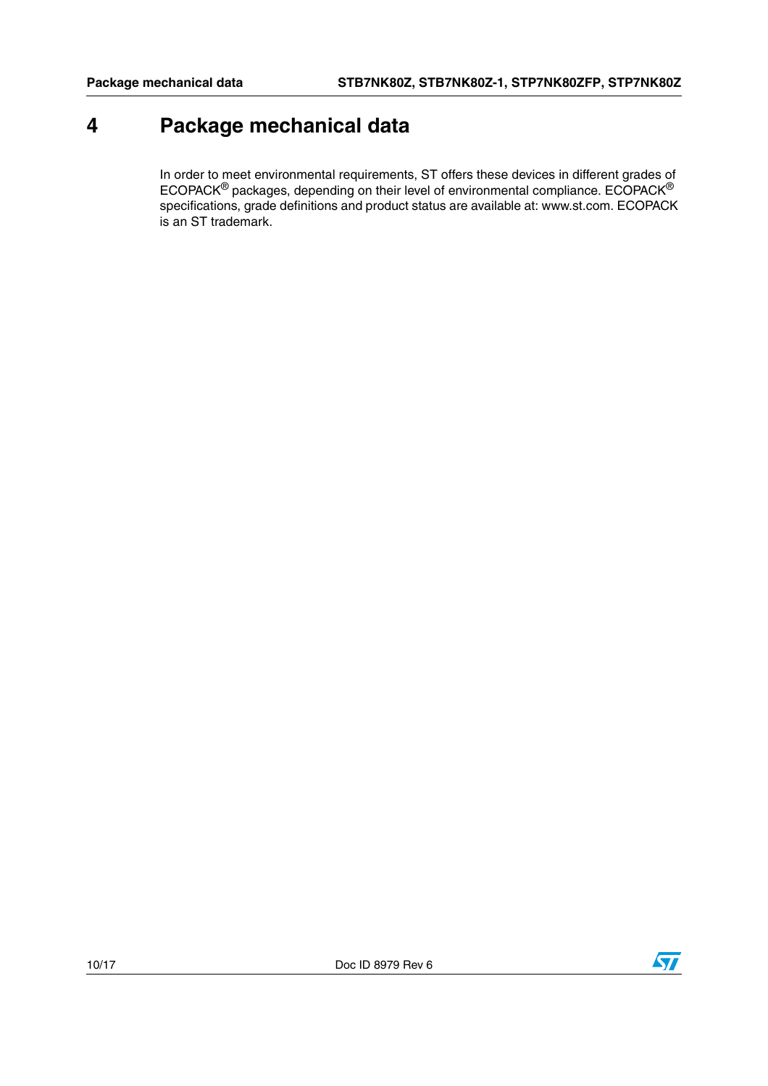# <span id="page-9-0"></span>**4 Package mechanical data**

In order to meet environmental requirements, ST offers these devices in different grades of ECOPACK® packages, depending on their level of environmental compliance. ECOPACK® specifications, grade definitions and product status are available at: www.st.com. ECOPACK is an ST trademark.

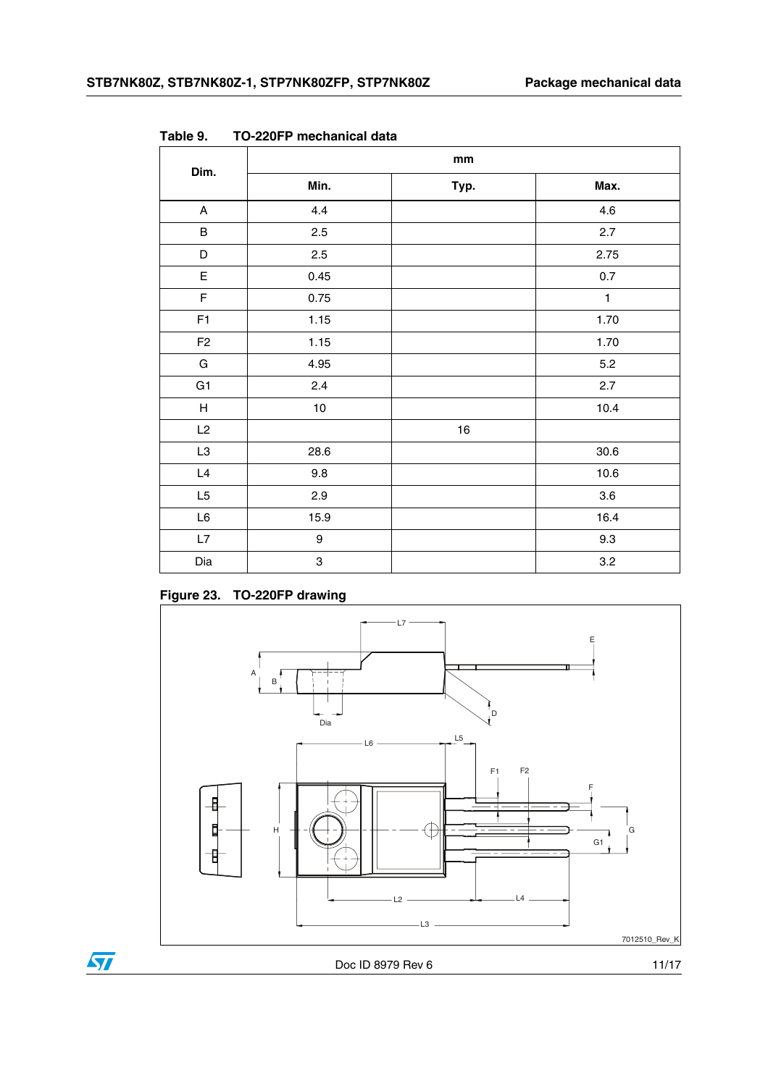| Dim.                      | mm               |      |              |  |  |  |
|---------------------------|------------------|------|--------------|--|--|--|
|                           | Min.             | Typ. | Max.         |  |  |  |
| $\mathsf A$               | 4.4              |      | 4.6          |  |  |  |
| $\sf B$                   | 2.5              |      | 2.7          |  |  |  |
| D                         | 2.5              |      | 2.75         |  |  |  |
| $\mathsf E$               | 0.45             |      | $0.7\,$      |  |  |  |
| $\mathsf F$               | 0.75             |      | $\mathbf{1}$ |  |  |  |
| F1                        | 1.15             |      | 1.70         |  |  |  |
| F <sub>2</sub>            | 1.15             |      | 1.70         |  |  |  |
| ${\bf G}$                 | 4.95             |      | 5.2          |  |  |  |
| G <sub>1</sub>            | 2.4              |      | 2.7          |  |  |  |
| $\boldsymbol{\mathsf{H}}$ | 10               |      | 10.4         |  |  |  |
| L2                        |                  | 16   |              |  |  |  |
| L <sub>3</sub>            | 28.6             |      | 30.6         |  |  |  |
| L4                        | 9.8              |      | 10.6         |  |  |  |
| L <sub>5</sub>            | 2.9              |      | 3.6          |  |  |  |
| $\mathsf{L}6$             | 15.9             |      | 16.4         |  |  |  |
| $\mathsf{L}7$             | $\boldsymbol{9}$ |      | 9.3          |  |  |  |
| Dia                       | 3                |      | 3.2          |  |  |  |

**Table 9. TO-220FP mechanical data**

## **Figure 23. TO-220FP drawing**



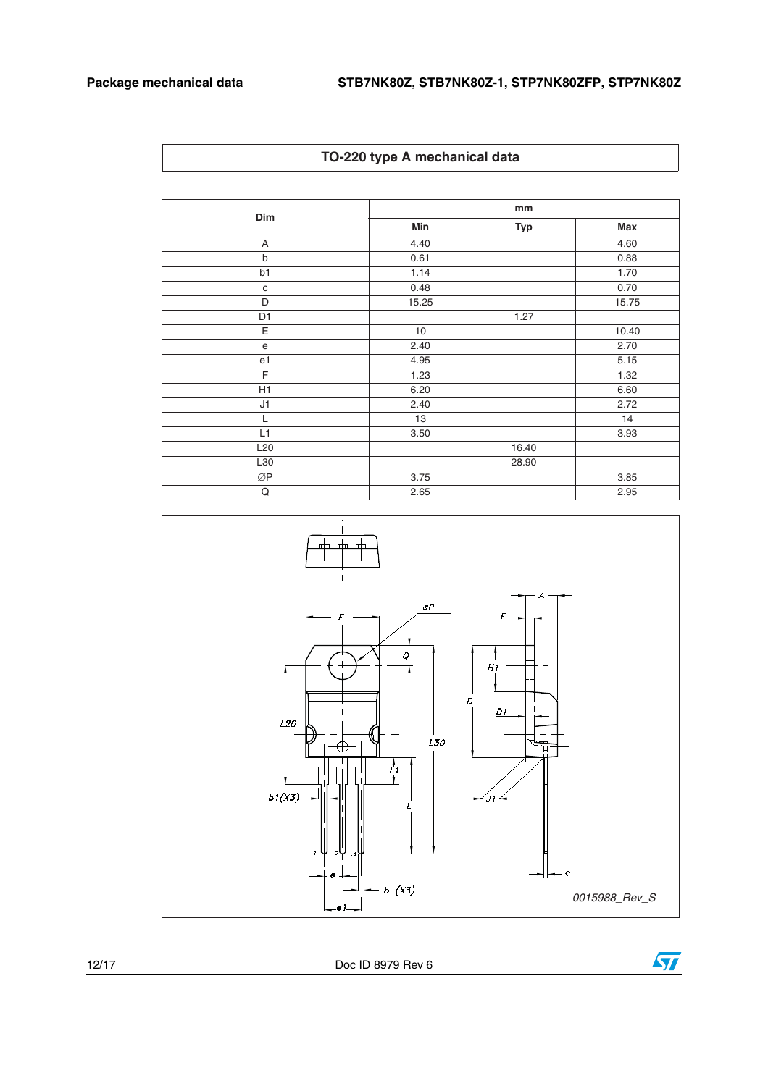|  |  |  | TO-220 type A mechanical data |  |
|--|--|--|-------------------------------|--|
|--|--|--|-------------------------------|--|

|                 |       | mm         |            |  |  |  |  |
|-----------------|-------|------------|------------|--|--|--|--|
| Dim             | Min   | <b>Typ</b> | <b>Max</b> |  |  |  |  |
| A               | 4.40  |            | 4.60       |  |  |  |  |
| $\mathsf b$     | 0.61  |            | 0.88       |  |  |  |  |
| b1              | 1.14  |            | 1.70       |  |  |  |  |
| $\mathbf C$     | 0.48  |            | 0.70       |  |  |  |  |
| D               | 15.25 |            | 15.75      |  |  |  |  |
| D <sub>1</sub>  |       | 1.27       |            |  |  |  |  |
| Ε               | 10    |            | 10.40      |  |  |  |  |
| e               | 2.40  |            | 2.70       |  |  |  |  |
| e <sub>1</sub>  | 4.95  |            | 5.15       |  |  |  |  |
| F               | 1.23  |            | 1.32       |  |  |  |  |
| H1              | 6.20  |            | 6.60       |  |  |  |  |
| J1              | 2.40  |            | 2.72       |  |  |  |  |
| L               | 13    |            | 14         |  |  |  |  |
| L1              | 3.50  |            | 3.93       |  |  |  |  |
| L <sub>20</sub> |       | 16.40      |            |  |  |  |  |
| L30             |       | 28.90      |            |  |  |  |  |
| ØP              | 3.75  |            | 3.85       |  |  |  |  |
| Q               | 2.65  |            | 2.95       |  |  |  |  |



12/17 Doc ID 8979 Rev 6

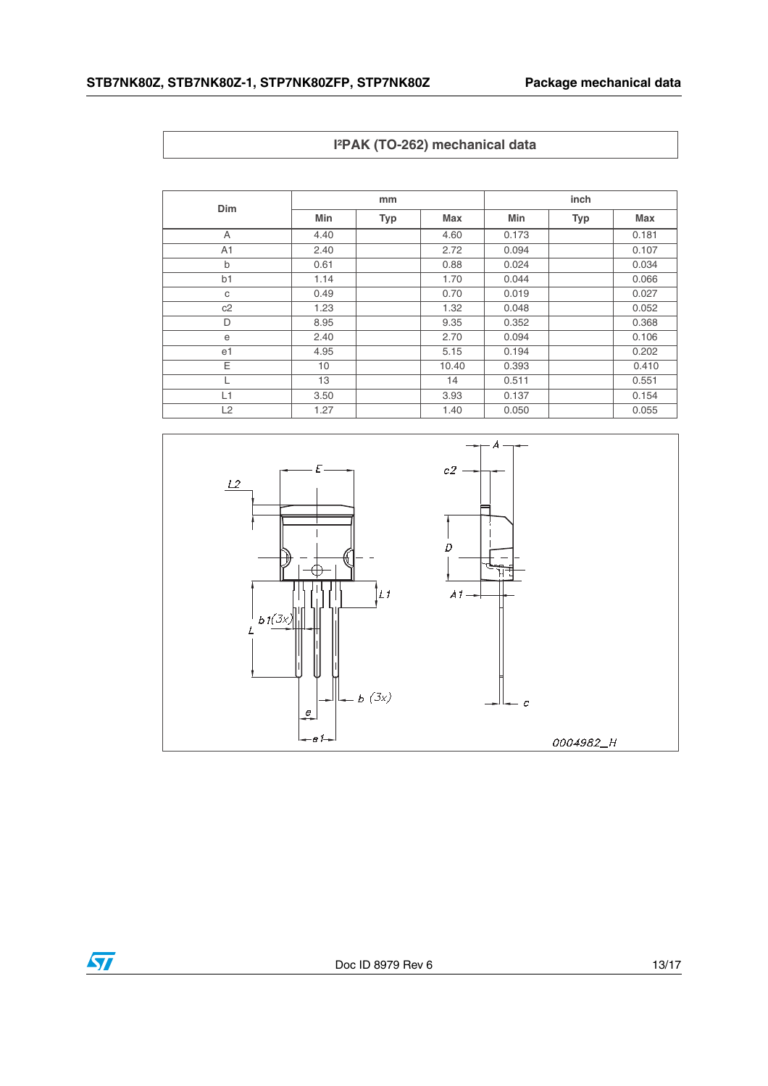|  |  | I <sup>2</sup> PAK (TO-262) mechanical data |  |
|--|--|---------------------------------------------|--|
|--|--|---------------------------------------------|--|

| <b>Dim</b>     | mm   |            |       | inch  |     |       |  |
|----------------|------|------------|-------|-------|-----|-------|--|
|                | Min  | <b>Typ</b> | Max   | Min   | Typ | Max   |  |
| A              | 4.40 |            | 4.60  | 0.173 |     | 0.181 |  |
| A <sub>1</sub> | 2.40 |            | 2.72  | 0.094 |     | 0.107 |  |
| b              | 0.61 |            | 0.88  | 0.024 |     | 0.034 |  |
| b <sub>1</sub> | 1.14 |            | 1.70  | 0.044 |     | 0.066 |  |
| C              | 0.49 |            | 0.70  | 0.019 |     | 0.027 |  |
| c2             | 1.23 |            | 1.32  | 0.048 |     | 0.052 |  |
| D              | 8.95 |            | 9.35  | 0.352 |     | 0.368 |  |
| e              | 2.40 |            | 2.70  | 0.094 |     | 0.106 |  |
| e1             | 4.95 |            | 5.15  | 0.194 |     | 0.202 |  |
| Ε              | 10   |            | 10.40 | 0.393 |     | 0.410 |  |
|                | 13   |            | 14    | 0.511 |     | 0.551 |  |
| L1             | 3.50 |            | 3.93  | 0.137 |     | 0.154 |  |
| L2             | 1.27 |            | 1.40  | 0.050 |     | 0.055 |  |

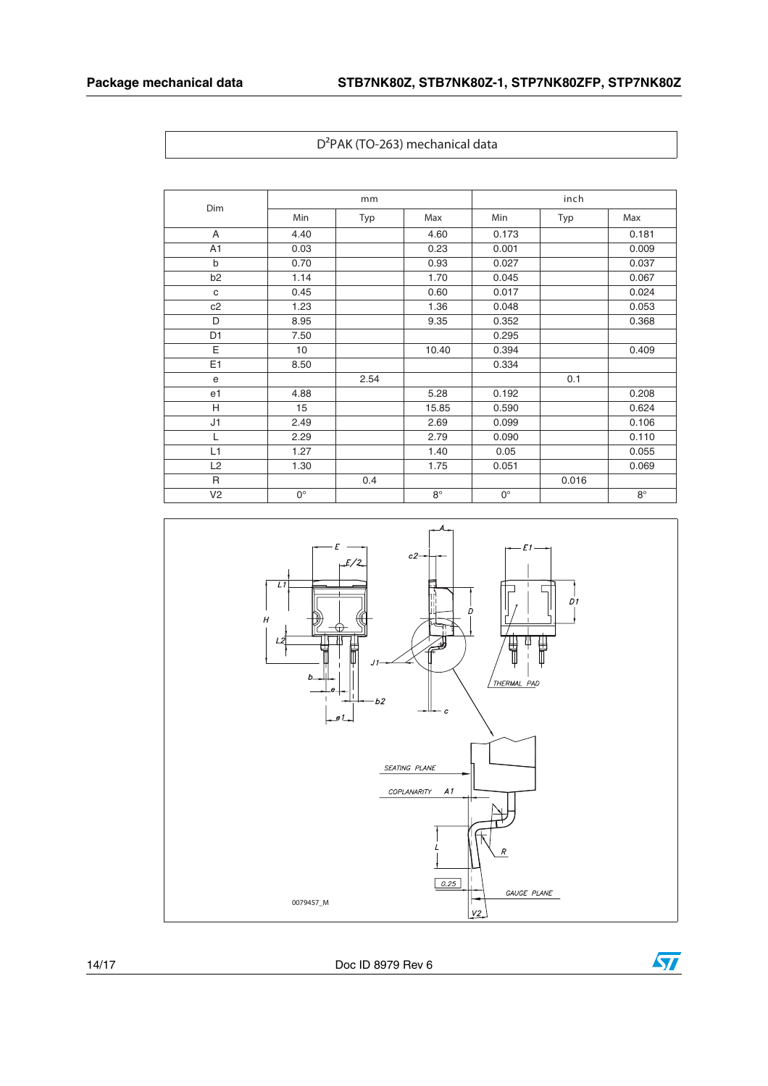|                | mm          |      |             | inch        |       |             |
|----------------|-------------|------|-------------|-------------|-------|-------------|
| Dim            | Min         | Typ  | Max         | Min         | Typ   | Max         |
| A              | 4.40        |      | 4.60        | 0.173       |       | 0.181       |
| A <sub>1</sub> | 0.03        |      | 0.23        | 0.001       |       | 0.009       |
| $\mathsf{b}$   | 0.70        |      | 0.93        | 0.027       |       | 0.037       |
| b <sub>2</sub> | 1.14        |      | 1.70        | 0.045       |       | 0.067       |
| $\mathbf{C}$   | 0.45        |      | 0.60        | 0.017       |       | 0.024       |
| c2             | 1.23        |      | 1.36        | 0.048       |       | 0.053       |
| D              | 8.95        |      | 9.35        | 0.352       |       | 0.368       |
| D <sub>1</sub> | 7.50        |      |             | 0.295       |       |             |
| E              | 10          |      | 10.40       | 0.394       |       | 0.409       |
| E1             | 8.50        |      |             | 0.334       |       |             |
| $\mathbf e$    |             | 2.54 |             |             | 0.1   |             |
| e1             | 4.88        |      | 5.28        | 0.192       |       | 0.208       |
| H              | 15          |      | 15.85       | 0.590       |       | 0.624       |
| J1             | 2.49        |      | 2.69        | 0.099       |       | 0.106       |
| L              | 2.29        |      | 2.79        | 0.090       |       | 0.110       |
| L1             | 1.27        |      | 1.40        | 0.05        |       | 0.055       |
| L2             | 1.30        |      | 1.75        | 0.051       |       | 0.069       |
| R              |             | 0.4  |             |             | 0.016 |             |
| V <sub>2</sub> | $0^{\circ}$ |      | $8^{\circ}$ | $0^{\circ}$ |       | $8^{\circ}$ |



14/17 Doc ID 8979 Rev 6

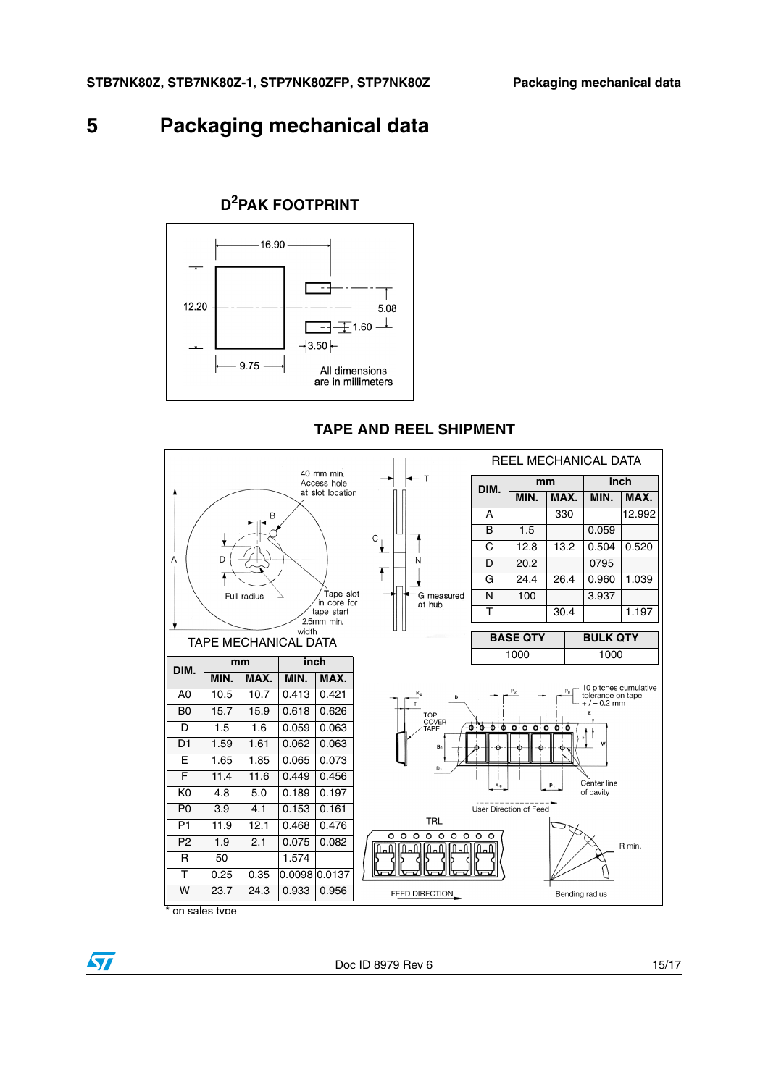## <span id="page-14-0"></span>**5 Packaging mechanical data**

## **D2PAK FOOTPRINT**



## **TAPE AND REEL SHIPMENT**



on sales type

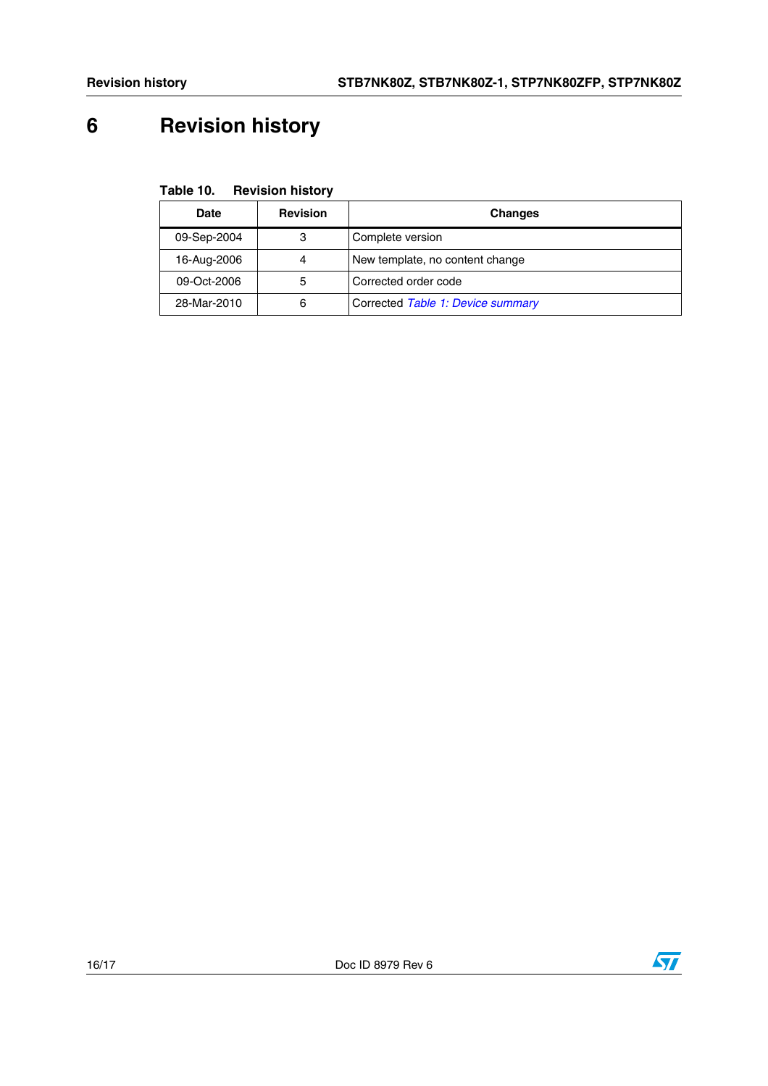# <span id="page-15-0"></span>**6 Revision history**

**Table 10. Revision history**

| <b>Revision</b><br><b>Date</b> |   | <b>Changes</b>                    |
|--------------------------------|---|-----------------------------------|
| 09-Sep-2004                    | 3 | Complete version                  |
| 16-Aug-2006                    | 4 | New template, no content change   |
| 09-Oct-2006                    | 5 | Corrected order code              |
| 28-Mar-2010<br>6               |   | Corrected Table 1: Device summary |